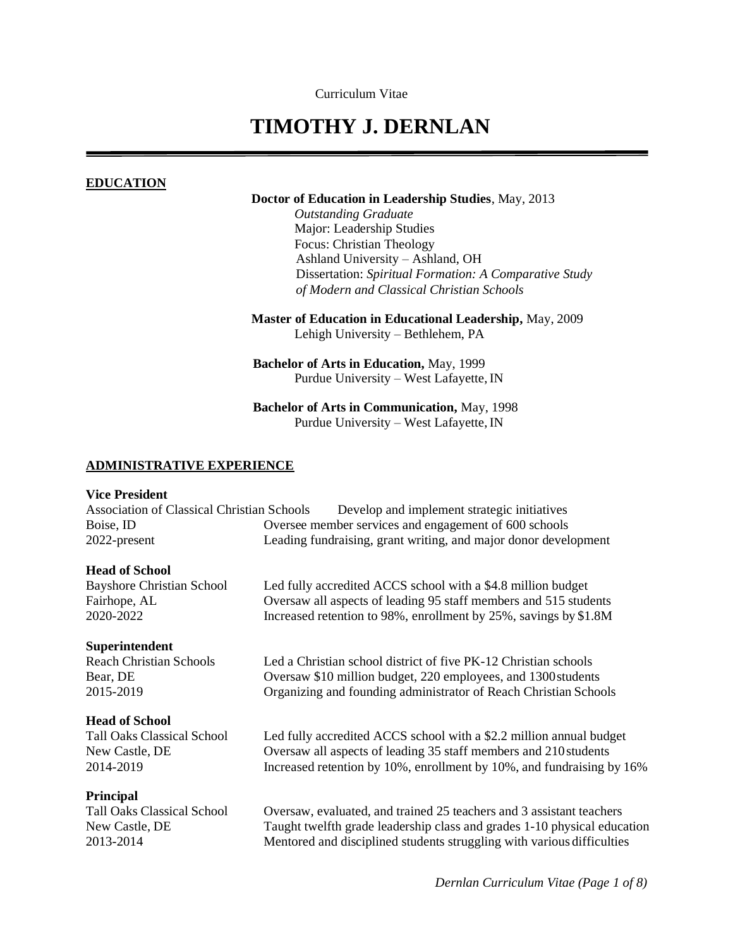Curriculum Vitae

# **TIMOTHY J. DERNLAN**

#### **EDUCATION**

#### **Doctor of Education in Leadership Studies**, May, 2013

*Outstanding Graduate*  Major: Leadership Studies Focus: Christian Theology Ashland University – Ashland, OH Dissertation: *Spiritual Formation: A Comparative Study of Modern and Classical Christian Schools*

**Master of Education in Educational Leadership,** May, 2009 Lehigh University – Bethlehem, PA

**Bachelor of Arts in Education,** May, 1999 Purdue University – West Lafayette, IN

**Bachelor of Arts in Communication,** May, 1998 Purdue University – West Lafayette, IN

#### **ADMINISTRATIVE EXPERIENCE**

#### **Vice President**

Association of Classical Christian Schools Develop and implement strategic initiatives Boise, ID Oversee member services and engagement of 600 schools 2022-present Leading fundraising, grant writing, and major donor development

#### **Head of School**

Bayshore Christian School Led fully accredited ACCS school with a \$4.8 million budget Fairhope, AL Coversaw all aspects of leading 95 staff members and 515 students 2020-2022 Increased retention to 98%, enrollment by 25%, savings by \$1.8M

#### **Superintendent**

#### **Head of School**

#### **Principal**

Reach Christian Schools Led a Christian school district of five PK-12 Christian schools Bear, DE Oversaw \$10 million budget, 220 employees, and 1300 students 2015-2019 Organizing and founding administrator of Reach Christian Schools

Tall Oaks Classical School Led fully accredited ACCS school with a \$2.2 million annual budget New Castle, DE Oversaw all aspects of leading 35 staff members and 210students 2014-2019 Increased retention by 10%, enrollment by 10%, and fundraising by 16%

Tall Oaks Classical School Oversaw, evaluated, and trained 25 teachers and 3 assistant teachers New Castle, DE Taught twelfth grade leadership class and grades 1-10 physical education 2013-2014 Mentored and disciplined students struggling with various difficulties

*Dernlan Curriculum Vitae (Page 1 of 8)*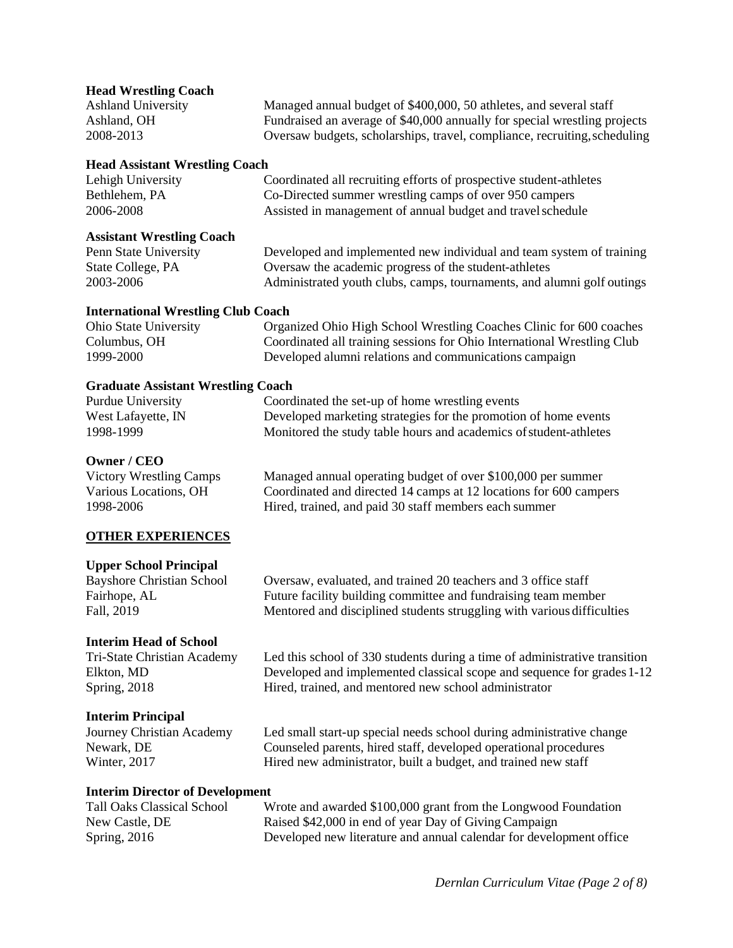# **Head Wrestling Coach** Ashland University Managed annual budget of \$400,000, 50 athletes, and several staff Ashland, OH Fundraised an average of \$40,000 annually for special wrestling projects 2008-2013 Oversaw budgets, scholarships, travel, compliance, recruiting,scheduling **Head Assistant Wrestling Coach** Lehigh University Coordinated all recruiting efforts of prospective student-athletes Bethlehem, PA Co-Directed summer wrestling camps of over 950 campers 2006-2008 Assisted in management of annual budget and travelschedule **Assistant Wrestling Coach** Penn State University Developed and implemented new individual and team system of training State College, PA Oversaw the academic progress of the student-athletes 2003-2006 Administrated youth clubs, camps, tournaments, and alumni golf outings

### **International Wrestling Club Coach**

| <b>Ohio State University</b> | Organized Ohio High School Wrestling Coaches Clinic for 600 coaches     |
|------------------------------|-------------------------------------------------------------------------|
| Columbus, OH                 | Coordinated all training sessions for Ohio International Wrestling Club |
| 1999-2000                    | Developed alumni relations and communications campaign                  |

### **Graduate Assistant Wrestling Coach**

| <b>Purdue University</b> | Coordinated the set-up of home wrestling events                   |
|--------------------------|-------------------------------------------------------------------|
| West Lafayette, IN       | Developed marketing strategies for the promotion of home events   |
| 1998-1999                | Monitored the study table hours and academics of student-athletes |

#### **Owner / CEO**

Victory Wrestling Camps Managed annual operating budget of over \$100,000 per summer Various Locations, OH Coordinated and directed 14 camps at 12 locations for 600 campers 1998-2006 Hired, trained, and paid 30 staff members each summer

## **OTHER EXPERIENCES**

#### **Upper School Principal**

**Interim Head of School**

## **Interim Principal**

Bayshore Christian School Oversaw, evaluated, and trained 20 teachers and 3 office staff Fairhope, AL Future facility building committee and fundraising team member Fall, 2019 Mentored and disciplined students struggling with various difficulties

Tri-State Christian Academy Led this school of 330 students during a time of administrative transition Elkton, MD Developed and implemented classical scope and sequence for grades1-12 Spring, 2018 Hired, trained, and mentored new school administrator

Journey Christian Academy Led small start-up special needs school during administrative change Newark, DE Counseled parents, hired staff, developed operational procedures Winter, 2017 **Hired new administrator, built a budget, and trained new staff** 

#### **Interim Director of Development**

Tall Oaks Classical School Wrote and awarded \$100,000 grant from the Longwood Foundation New Castle, DE Raised \$42,000 in end of year Day of Giving Campaign Spring, 2016 Developed new literature and annual calendar for development office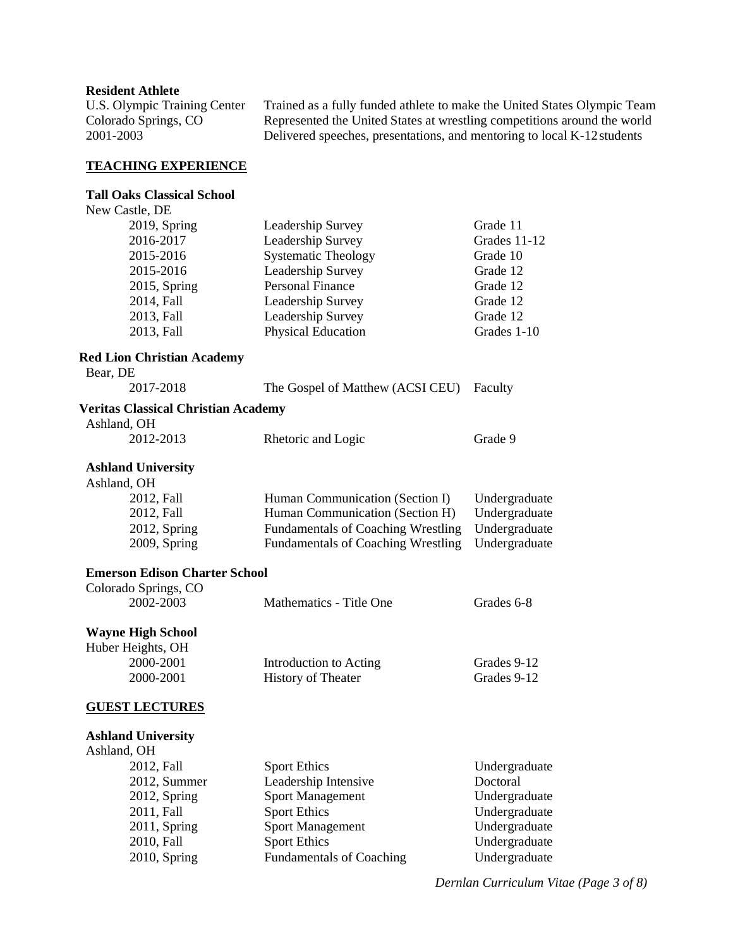#### **Resident Athlete**

U.S. Olympic Training Center Trained as a fully funded athlete to make the United States Olympic Team Colorado Springs, CO<br>
Represented the United States at wrestling competitions around the world<br>
2001-2003<br>
Delivered speeches, presentations, and mentoring to local K-12 students Delivered speeches, presentations, and mentoring to local K-12 students

#### **TEACHING EXPERIENCE**

#### **Tall Oaks Classical School**

| New Castle, DE                             |                                           |               |
|--------------------------------------------|-------------------------------------------|---------------|
| 2019, Spring                               | Leadership Survey                         | Grade 11      |
| 2016-2017                                  | Leadership Survey                         | Grades 11-12  |
| 2015-2016                                  | <b>Systematic Theology</b>                | Grade 10      |
| 2015-2016                                  | Leadership Survey                         | Grade 12      |
| 2015, Spring                               | <b>Personal Finance</b>                   | Grade 12      |
| 2014, Fall                                 | Leadership Survey                         | Grade 12      |
| 2013, Fall                                 | Leadership Survey                         | Grade 12      |
| 2013, Fall                                 | Physical Education                        | Grades 1-10   |
| <b>Red Lion Christian Academy</b>          |                                           |               |
| Bear, DE                                   |                                           |               |
| 2017-2018                                  | The Gospel of Matthew (ACSI CEU)          | Faculty       |
| <b>Veritas Classical Christian Academy</b> |                                           |               |
| Ashland, OH                                |                                           |               |
| 2012-2013                                  | Rhetoric and Logic                        | Grade 9       |
| <b>Ashland University</b>                  |                                           |               |
| Ashland, OH                                |                                           |               |
| 2012, Fall                                 | Human Communication (Section I)           | Undergraduate |
| 2012, Fall                                 | Human Communication (Section H)           | Undergraduate |
| 2012, Spring                               | <b>Fundamentals of Coaching Wrestling</b> | Undergraduate |
| 2009, Spring                               | <b>Fundamentals of Coaching Wrestling</b> | Undergraduate |
| <b>Emerson Edison Charter School</b>       |                                           |               |
| Colorado Springs, CO                       |                                           |               |
| 2002-2003                                  | Mathematics - Title One                   | Grades 6-8    |
| <b>Wayne High School</b>                   |                                           |               |
| Huber Heights, OH                          |                                           |               |
| 2000-2001                                  | <b>Introduction to Acting</b>             | Grades 9-12   |

# **GUEST LECTURES**

#### **Ashland University** Ashland, OH

| 2012, Fall      | <b>Sport Ethics</b>             | Undergraduate |
|-----------------|---------------------------------|---------------|
| 2012, Summer    | Leadership Intensive            | Doctoral      |
| $2012$ , Spring | <b>Sport Management</b>         | Undergraduate |
| 2011, Fall      | <b>Sport Ethics</b>             | Undergraduate |
| $2011$ , Spring | <b>Sport Management</b>         | Undergraduate |
| 2010, Fall      | <b>Sport Ethics</b>             | Undergraduate |
| $2010$ , Spring | <b>Fundamentals of Coaching</b> | Undergraduate |
|                 |                                 |               |

2000-2001 History of Theater Grades 9-12

*Dernlan Curriculum Vitae (Page 3 of 8)*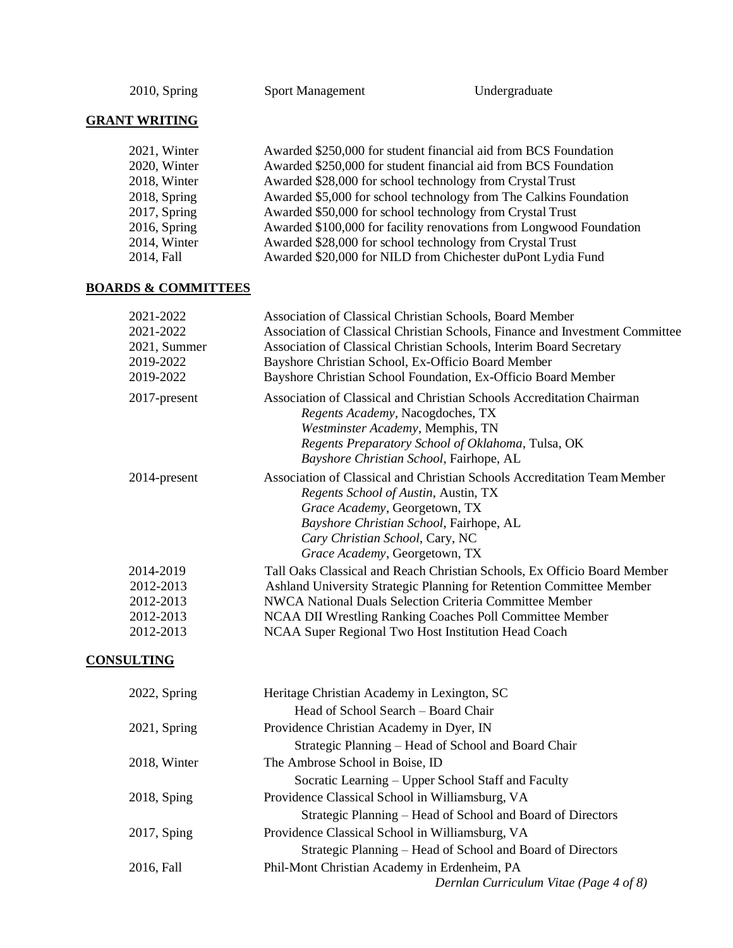2010, Spring Sport Management Undergraduate

# **GRANT WRITING**

| 2021, Winter | Awarded \$250,000 for student financial aid from BCS Foundation     |
|--------------|---------------------------------------------------------------------|
| 2020, Winter | Awarded \$250,000 for student financial aid from BCS Foundation     |
| 2018, Winter | Awarded \$28,000 for school technology from Crystal Trust           |
| 2018, Spring | Awarded \$5,000 for school technology from The Calkins Foundation   |
| 2017, Spring | Awarded \$50,000 for school technology from Crystal Trust           |
| 2016, Spring | Awarded \$100,000 for facility renovations from Longwood Foundation |
| 2014, Winter | Awarded \$28,000 for school technology from Crystal Trust           |
| 2014, Fall   | Awarded \$20,000 for NILD from Chichester duPont Lydia Fund         |

# **BOARDS & COMMITTEES**

| 2021-2022       | Association of Classical Christian Schools, Board Member                                                                                                                                                                                                         |
|-----------------|------------------------------------------------------------------------------------------------------------------------------------------------------------------------------------------------------------------------------------------------------------------|
| 2021-2022       | Association of Classical Christian Schools, Finance and Investment Committee                                                                                                                                                                                     |
| 2021, Summer    | Association of Classical Christian Schools, Interim Board Secretary                                                                                                                                                                                              |
| 2019-2022       | Bayshore Christian School, Ex-Officio Board Member                                                                                                                                                                                                               |
| 2019-2022       | Bayshore Christian School Foundation, Ex-Officio Board Member                                                                                                                                                                                                    |
| $2017$ -present | Association of Classical and Christian Schools Accreditation Chairman<br><i>Regents Academy</i> , Nacogdoches, TX<br>Westminster Academy, Memphis, TN<br>Regents Preparatory School of Oklahoma, Tulsa, OK<br>Bayshore Christian School, Fairhope, AL            |
| 2014-present    | Association of Classical and Christian Schools Accreditation Team Member<br>Regents School of Austin, Austin, TX<br>Grace Academy, Georgetown, TX<br>Bayshore Christian School, Fairhope, AL<br>Cary Christian School, Cary, NC<br>Grace Academy, Georgetown, TX |
| 2014-2019       | Tall Oaks Classical and Reach Christian Schools, Ex Officio Board Member                                                                                                                                                                                         |
| 2012-2013       | Ashland University Strategic Planning for Retention Committee Member                                                                                                                                                                                             |
| 2012-2013       | NWCA National Duals Selection Criteria Committee Member                                                                                                                                                                                                          |
| 2012-2013       | NCAA DII Wrestling Ranking Coaches Poll Committee Member                                                                                                                                                                                                         |
| 2012-2013       | NCAA Super Regional Two Host Institution Head Coach                                                                                                                                                                                                              |

# **CONSULTING**

| 2022, Spring    | Heritage Christian Academy in Lexington, SC                |
|-----------------|------------------------------------------------------------|
|                 | Head of School Search – Board Chair                        |
| $2021$ , Spring | Providence Christian Academy in Dyer, IN                   |
|                 | Strategic Planning - Head of School and Board Chair        |
| 2018, Winter    | The Ambrose School in Boise, ID                            |
|                 | Socratic Learning – Upper School Staff and Faculty         |
| 2018, Sping     | Providence Classical School in Williamsburg, VA            |
|                 | Strategic Planning – Head of School and Board of Directors |
| 2017, Sping     | Providence Classical School in Williamsburg, VA            |
|                 | Strategic Planning – Head of School and Board of Directors |
| 2016, Fall      | Phil-Mont Christian Academy in Erdenheim, PA               |
|                 | Dernlan Curriculum Vitae (Page 4 of 8)                     |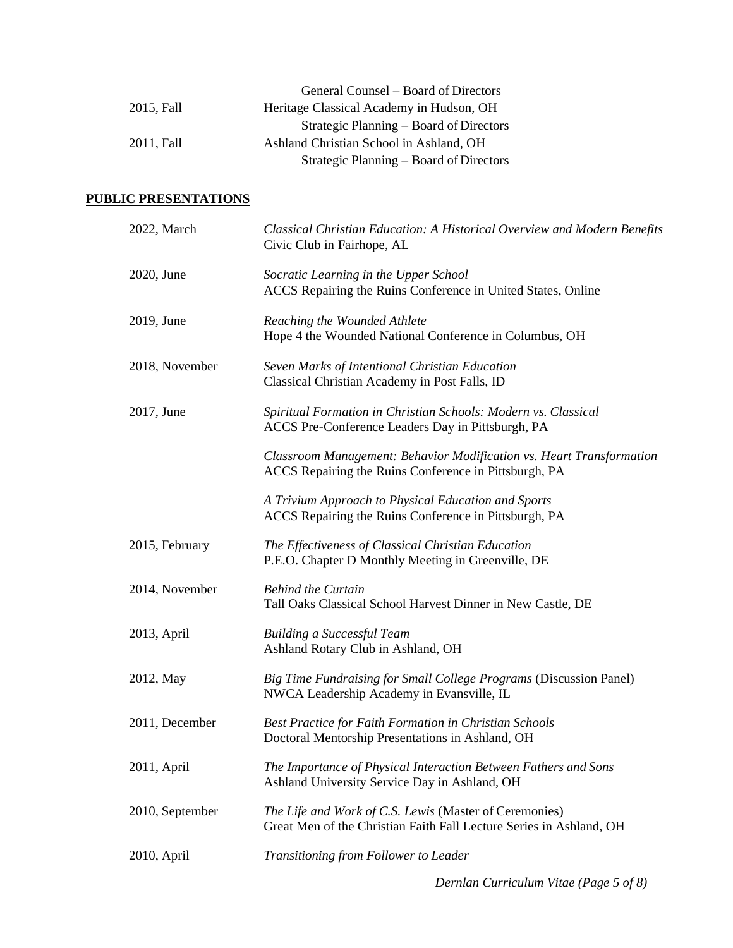|            | General Counsel – Board of Directors     |
|------------|------------------------------------------|
| 2015, Fall | Heritage Classical Academy in Hudson, OH |
|            | Strategic Planning – Board of Directors  |
| 2011. Fall | Ashland Christian School in Ashland, OH  |
|            | Strategic Planning – Board of Directors  |

# **PUBLIC PRESENTATIONS**

| 2022, March     | Classical Christian Education: A Historical Overview and Modern Benefits<br>Civic Club in Fairhope, AL                        |
|-----------------|-------------------------------------------------------------------------------------------------------------------------------|
| 2020, June      | Socratic Learning in the Upper School<br>ACCS Repairing the Ruins Conference in United States, Online                         |
| 2019, June      | Reaching the Wounded Athlete<br>Hope 4 the Wounded National Conference in Columbus, OH                                        |
| 2018, November  | Seven Marks of Intentional Christian Education<br>Classical Christian Academy in Post Falls, ID                               |
| 2017, June      | Spiritual Formation in Christian Schools: Modern vs. Classical<br>ACCS Pre-Conference Leaders Day in Pittsburgh, PA           |
|                 | Classroom Management: Behavior Modification vs. Heart Transformation<br>ACCS Repairing the Ruins Conference in Pittsburgh, PA |
|                 | A Trivium Approach to Physical Education and Sports<br>ACCS Repairing the Ruins Conference in Pittsburgh, PA                  |
| 2015, February  | The Effectiveness of Classical Christian Education<br>P.E.O. Chapter D Monthly Meeting in Greenville, DE                      |
| 2014, November  | <b>Behind the Curtain</b><br>Tall Oaks Classical School Harvest Dinner in New Castle, DE                                      |
| 2013, April     | <b>Building a Successful Team</b><br>Ashland Rotary Club in Ashland, OH                                                       |
| 2012, May       | Big Time Fundraising for Small College Programs (Discussion Panel)<br>NWCA Leadership Academy in Evansville, IL               |
| 2011, December  | <b>Best Practice for Faith Formation in Christian Schools</b><br>Doctoral Mentorship Presentations in Ashland, OH             |
| 2011, April     | The Importance of Physical Interaction Between Fathers and Sons<br>Ashland University Service Day in Ashland, OH              |
| 2010, September | The Life and Work of C.S. Lewis (Master of Ceremonies)<br>Great Men of the Christian Faith Fall Lecture Series in Ashland, OH |
| 2010, April     | Transitioning from Follower to Leader                                                                                         |
|                 |                                                                                                                               |

*Dernlan Curriculum Vitae (Page 5 of 8)*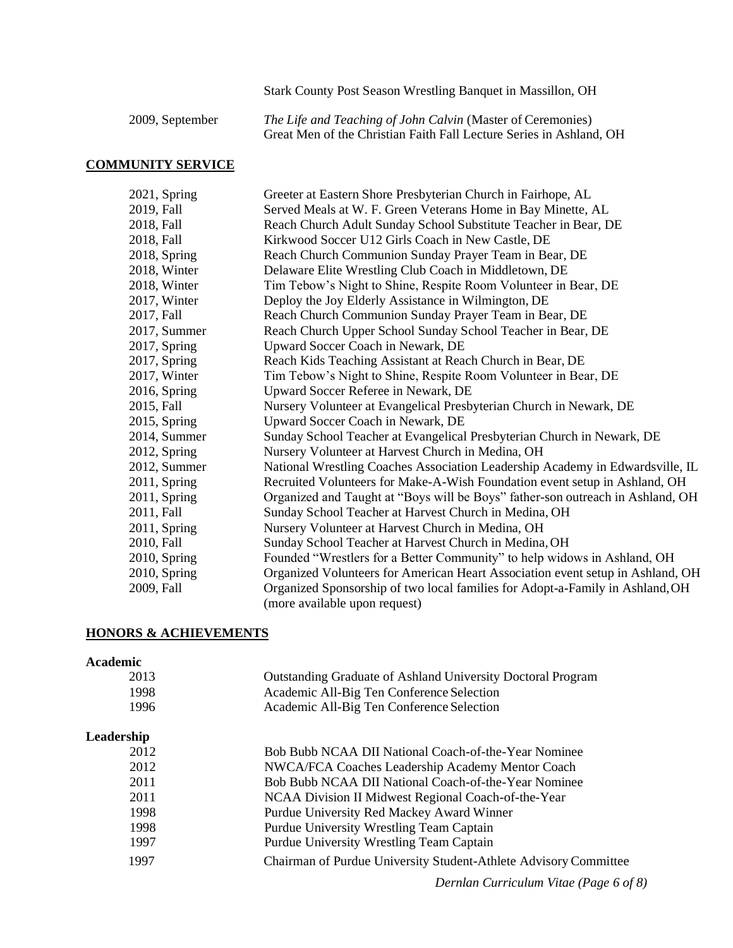Stark County Post Season Wrestling Banquet in Massillon, OH

2009, September *The Life and Teaching of John Calvin* (Master of Ceremonies) Great Men of the Christian Faith Fall Lecture Series in Ashland, OH

#### **COMMUNITY SERVICE**

| 2021, Spring    | Greeter at Eastern Shore Presbyterian Church in Fairhope, AL                   |
|-----------------|--------------------------------------------------------------------------------|
| 2019, Fall      | Served Meals at W. F. Green Veterans Home in Bay Minette, AL                   |
| 2018, Fall      | Reach Church Adult Sunday School Substitute Teacher in Bear, DE                |
| 2018, Fall      | Kirkwood Soccer U12 Girls Coach in New Castle, DE                              |
| 2018, Spring    | Reach Church Communion Sunday Prayer Team in Bear, DE                          |
| 2018, Winter    | Delaware Elite Wrestling Club Coach in Middletown, DE                          |
| 2018, Winter    | Tim Tebow's Night to Shine, Respite Room Volunteer in Bear, DE                 |
| 2017, Winter    | Deploy the Joy Elderly Assistance in Wilmington, DE                            |
| 2017, Fall      | Reach Church Communion Sunday Prayer Team in Bear, DE                          |
| 2017, Summer    | Reach Church Upper School Sunday School Teacher in Bear, DE                    |
| 2017, Spring    | Upward Soccer Coach in Newark, DE                                              |
| 2017, Spring    | Reach Kids Teaching Assistant at Reach Church in Bear, DE                      |
| 2017, Winter    | Tim Tebow's Night to Shine, Respite Room Volunteer in Bear, DE                 |
| 2016, Spring    | Upward Soccer Referee in Newark, DE                                            |
| 2015, Fall      | Nursery Volunteer at Evangelical Presbyterian Church in Newark, DE             |
| 2015, Spring    | Upward Soccer Coach in Newark, DE                                              |
| 2014, Summer    | Sunday School Teacher at Evangelical Presbyterian Church in Newark, DE         |
| $2012$ , Spring | Nursery Volunteer at Harvest Church in Medina, OH                              |
| 2012, Summer    | National Wrestling Coaches Association Leadership Academy in Edwardsville, IL  |
| 2011, Spring    | Recruited Volunteers for Make-A-Wish Foundation event setup in Ashland, OH     |
| $2011$ , Spring | Organized and Taught at "Boys will be Boys" father-son outreach in Ashland, OH |
| 2011, Fall      | Sunday School Teacher at Harvest Church in Medina, OH                          |
| 2011, Spring    | Nursery Volunteer at Harvest Church in Medina, OH                              |
| 2010, Fall      | Sunday School Teacher at Harvest Church in Medina, OH                          |
| 2010, Spring    | Founded "Wrestlers for a Better Community" to help widows in Ashland, OH       |
| 2010, Spring    | Organized Volunteers for American Heart Association event setup in Ashland, OH |
| 2009, Fall      | Organized Sponsorship of two local families for Adopt-a-Family in Ashland, OH  |
|                 | (more available upon request)                                                  |

#### **HONORS & ACHIEVEMENTS**

#### **Academic**

| 2013  | <b>Outstanding Graduate of Ashland University Doctoral Program</b> |
|-------|--------------------------------------------------------------------|
| 1998. | Academic All-Big Ten Conference Selection                          |
| 1996. | Academic All-Big Ten Conference Selection                          |
|       |                                                                    |

## **Leadership**

| 2012 | Bob Bubb NCAA DII National Coach-of-the-Year Nominee             |
|------|------------------------------------------------------------------|
| 2012 | NWCA/FCA Coaches Leadership Academy Mentor Coach                 |
| 2011 | Bob Bubb NCAA DII National Coach-of-the-Year Nominee             |
| 2011 | NCAA Division II Midwest Regional Coach-of-the-Year              |
| 1998 | Purdue University Red Mackey Award Winner                        |
| 1998 | Purdue University Wrestling Team Captain                         |
| 1997 | Purdue University Wrestling Team Captain                         |
| 1997 | Chairman of Purdue University Student-Athlete Advisory Committee |
|      |                                                                  |

*Dernlan Curriculum Vitae (Page 6 of 8)*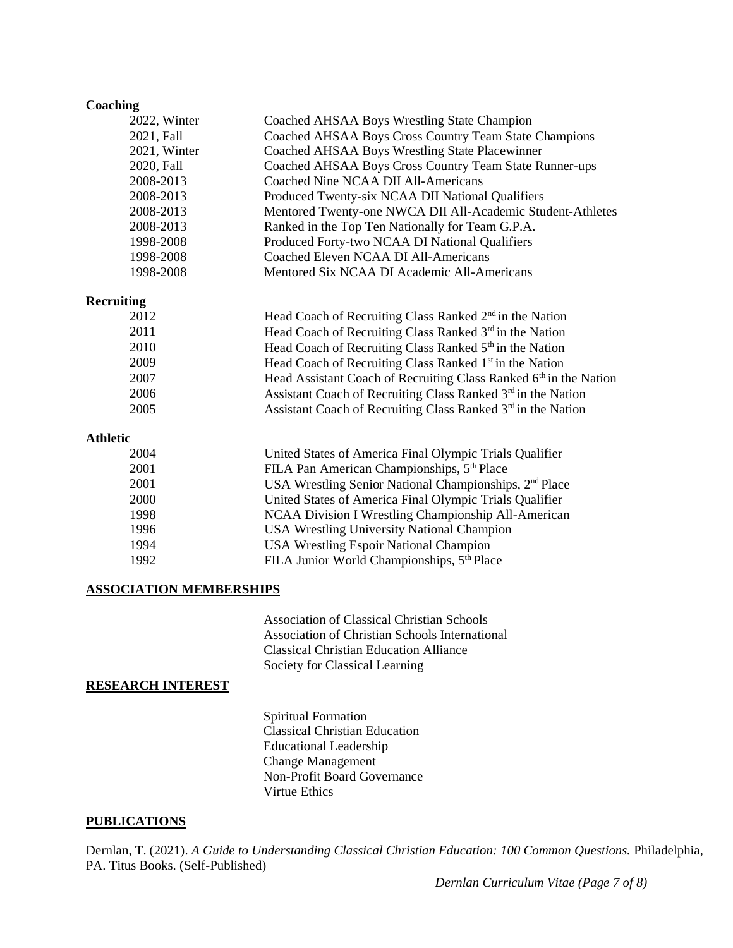#### **Coaching**

| 2022, Winter      | Coached AHSAA Boys Wrestling State Champion                         |
|-------------------|---------------------------------------------------------------------|
| 2021, Fall        | Coached AHSAA Boys Cross Country Team State Champions               |
| 2021, Winter      | Coached AHSAA Boys Wrestling State Placewinner                      |
| 2020, Fall        | Coached AHSAA Boys Cross Country Team State Runner-ups              |
| 2008-2013         | Coached Nine NCAA DII All-Americans                                 |
| 2008-2013         | Produced Twenty-six NCAA DII National Qualifiers                    |
| 2008-2013         | Mentored Twenty-one NWCA DII All-Academic Student-Athletes          |
| 2008-2013         | Ranked in the Top Ten Nationally for Team G.P.A.                    |
| 1998-2008         | Produced Forty-two NCAA DI National Qualifiers                      |
| 1998-2008         | Coached Eleven NCAA DI All-Americans                                |
| 1998-2008         | Mentored Six NCAA DI Academic All-Americans                         |
| <b>Recruiting</b> |                                                                     |
| 2012              | Head Coach of Recruiting Class Ranked 2 <sup>nd</sup> in the Nation |
| 2011              | Head Coach of Recruiting Class Ranked 3rd in the Nation             |
| 2010              | Head Coach of Recruiting Class Ranked 5th in the Nation             |
| 2009              | Head Coach of Recruiting Class Ranked 1 <sup>st</sup> in the Nation |
| 2007              | Head Assistant Coach of Recruiting Class Ranked 6th in the Nation   |
| 2006              | Assistant Coach of Recruiting Class Ranked 3rd in the Nation        |
| 2005              | Assistant Coach of Recruiting Class Ranked 3rd in the Nation        |
| <b>Athletic</b>   |                                                                     |
| 2004              | United States of America Final Olympic Trials Qualifier             |
| 2001              | FILA Pan American Championships, 5 <sup>th</sup> Place              |
| 2001              | USA Wrestling Senior National Championships, 2 <sup>nd</sup> Place  |
| 2000              | United States of America Final Olympic Trials Qualifier             |
| 1998              | NCAA Division I Wrestling Championship All-American                 |

1994 USA Wrestling Espoir National Champion 1992 FILA Junior World Championships,  $5<sup>th</sup>$  Place

1996 USA Wrestling University National Champion

# **ASSOCIATION MEMBERSHIPS**

Association of Classical Christian Schools Association of Christian Schools International Classical Christian Education Alliance Society for Classical Learning

## **RESEARCH INTEREST**

Spiritual Formation Classical Christian Education Educational Leadership Change Management Non-Profit Board Governance Virtue Ethics

## **PUBLICATIONS**

Dernlan, T. (2021). *A Guide to Understanding Classical Christian Education: 100 Common Questions*. Philadelphia, PA. Titus Books. (Self-Published)